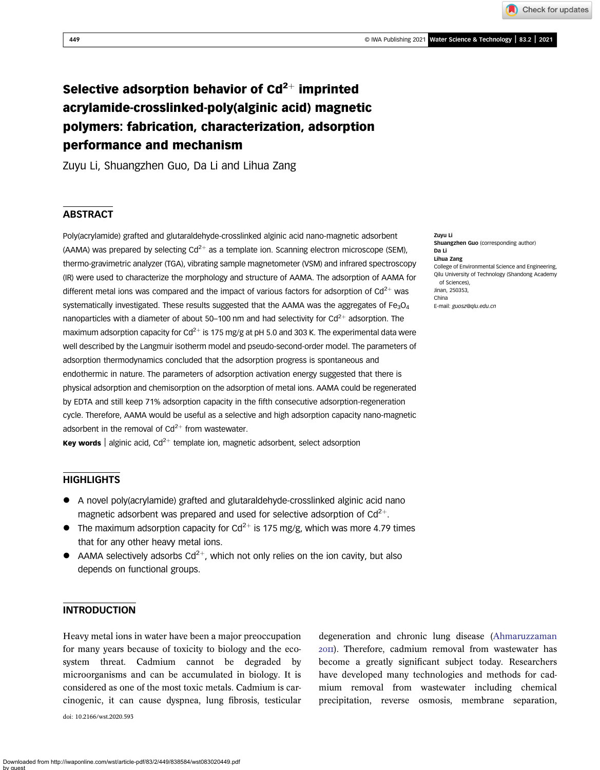Check for updates

# Selective adsorption behavior of  $Cd^{2+}$  imprinted acrylamide-crosslinked-poly(alginic acid) magnetic polymers: fabrication, characterization, adsorption performance and mechanism

Zuyu Li, Shuangzhen Guo, Da Li and Lihua Zang

## **ABSTRACT**

Poly(acrylamide) grafted and glutaraldehyde-crosslinked alginic acid nano-magnetic adsorbent (AAMA) was prepared by selecting  $Cd^{2+}$  as a template ion. Scanning electron microscope (SEM), thermo-gravimetric analyzer (TGA), vibrating sample magnetometer (VSM) and infrared spectroscopy (IR) were used to characterize the morphology and structure of AAMA. The adsorption of AAMA for different metal ions was compared and the impact of various factors for adsorption of  $Cd^{2+}$  was systematically investigated. These results suggested that the AAMA was the aggregates of  $Fe<sub>3</sub>O<sub>4</sub>$ nanoparticles with a diameter of about 50–100 nm and had selectivity for  $Cd^{2+}$  adsorption. The maximum adsorption capacity for  $Cd^{2+}$  is 175 mg/g at pH 5.0 and 303 K. The experimental data were well described by the Langmuir isotherm model and pseudo-second-order model. The parameters of adsorption thermodynamics concluded that the adsorption progress is spontaneous and endothermic in nature. The parameters of adsorption activation energy suggested that there is physical adsorption and chemisorption on the adsorption of metal ions. AAMA could be regenerated by EDTA and still keep 71% adsorption capacity in the fifth consecutive adsorption-regeneration cycle. Therefore, AAMA would be useful as a selective and high adsorption capacity nano-magnetic adsorbent in the removal of  $Cd^{2+}$  from wastewater.

**Key words** | alginic acid,  $Cd^{2+}$  template ion, magnetic adsorbent, select adsorption

## **HIGHLIGHTS**

- A novel poly(acrylamide) grafted and glutaraldehyde-crosslinked alginic acid nano magnetic adsorbent was prepared and used for selective adsorption of  $Cd^{2+}$ .
- The maximum adsorption capacity for Cd<sup>2+</sup> is 175 mg/g, which was more 4.79 times that for any other heavy metal ions.
- AAMA selectively adsorbs  $Cd^{2+}$ , which not only relies on the ion cavity, but also depends on functional groups.

# **INTRODUCTION**

Heavy metal ions in water have been a major preoccupation for many years because of toxicity to biology and the ecosystem threat. Cadmium cannot be degraded by microorganisms and can be accumulated in biology. It is considered as one of the most toxic metals. Cadmium is carcinogenic, it can cause dyspnea, lung fibrosis, testicular

doi: 10.2166/wst.2020.593

degeneration and chronic lung disease [\(Ahmaruzzaman](#page-13-0) ). Therefore, cadmium removal from wastewater has become a greatly significant subject today. Researchers have developed many technologies and methods for cadmium removal from wastewater including chemical precipitation, reverse osmosis, membrane separation,

Zuyu Li Shuangzhen Guo (corresponding author) Da Li Lihua Zang College of Environmental Science and Engineering, Qilu University of Technology (Shandong Academy of Sciences), Jinan, 250353, China E-mail: [guosz@qlu.edu.cn](mailto:guosz@qlu.edu.cn)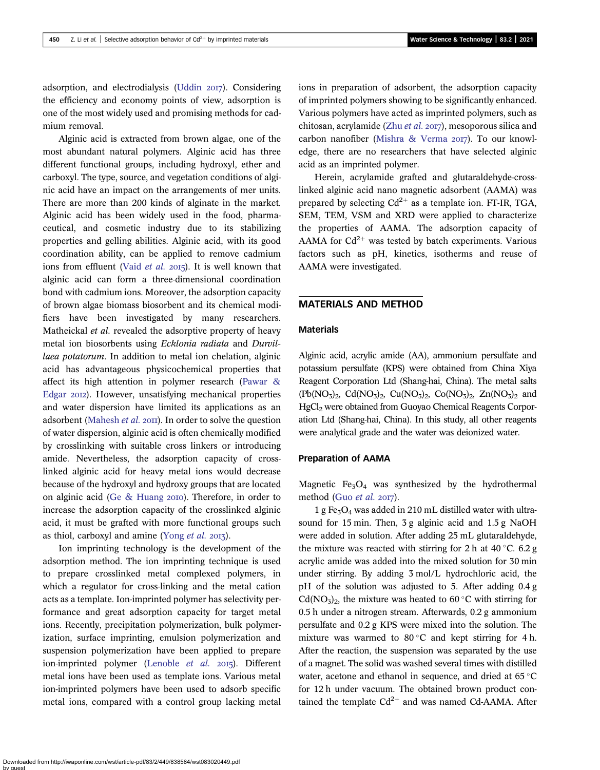adsorption, and electrodialysis ([Uddin](#page-13-0) 2017). Considering the efficiency and economy points of view, adsorption is one of the most widely used and promising methods for cadmium removal.

Alginic acid is extracted from brown algae, one of the most abundant natural polymers. Alginic acid has three different functional groups, including hydroxyl, ether and carboxyl. The type, source, and vegetation conditions of alginic acid have an impact on the arrangements of mer units. There are more than 200 kinds of alginate in the market. Alginic acid has been widely used in the food, pharmaceutical, and cosmetic industry due to its stabilizing properties and gelling abilities. Alginic acid, with its good coordination ability, can be applied to remove cadmium ions from effluent (Vaid [et al.](#page-13-0) 2015). It is well known that alginic acid can form a three-dimensional coordination bond with cadmium ions. Moreover, the adsorption capacity of brown algae biomass biosorbent and its chemical modifiers have been investigated by many researchers. Matheickal et al. revealed the adsorptive property of heavy metal ion biosorbents using Ecklonia radiata and Durvillaea potatorum. In addition to metal ion chelation, alginic acid has advantageous physicochemical properties that affect its high attention in polymer research [\(Pawar &](#page-13-0) [Edgar](#page-13-0) 2012). However, unsatisfying mechanical properties and water dispersion have limited its applications as an adsorbent ([Mahesh](#page-13-0)  $et$  al.  $20\pi$ ). In order to solve the question of water dispersion, alginic acid is often chemically modified by crosslinking with suitable cross linkers or introducing amide. Nevertheless, the adsorption capacity of crosslinked alginic acid for heavy metal ions would decrease because of the hydroxyl and hydroxy groups that are located on alginic acid (Ge  $&$  Huang 2010). Therefore, in order to increase the adsorption capacity of the crosslinked alginic acid, it must be grafted with more functional groups such as thiol, carboxyl and amine ([Yong](#page-13-0)  $et$   $al.$  2013).

Ion imprinting technology is the development of the adsorption method. The ion imprinting technique is used to prepare crosslinked metal complexed polymers, in which a regulator for cross-linking and the metal cation acts as a template. Ion-imprinted polymer has selectivity performance and great adsorption capacity for target metal ions. Recently, precipitation polymerization, bulk polymerization, surface imprinting, emulsion polymerization and suspension polymerization have been applied to prepare ion-imprinted polymer [\(Lenoble](#page-13-0) et al. 2015). Different metal ions have been used as template ions. Various metal ion-imprinted polymers have been used to adsorb specific metal ions, compared with a control group lacking metal ions in preparation of adsorbent, the adsorption capacity of imprinted polymers showing to be significantly enhanced. Various polymers have acted as imprinted polymers, such as chitosan, acrylamide (Zhu [et al.](#page-13-0)  $2017$ ), mesoporous silica and carbon nanofiber [\(Mishra & Verma](#page-13-0) 2017). To our knowledge, there are no researchers that have selected alginic acid as an imprinted polymer.

Herein, acrylamide grafted and glutaraldehyde-crosslinked alginic acid nano magnetic adsorbent (AAMA) was prepared by selecting  $Cd^{2+}$  as a template ion. FT-IR, TGA, SEM, TEM, VSM and XRD were applied to characterize the properties of AAMA. The adsorption capacity of AAMA for  $Cd^{2+}$  was tested by batch experiments. Various factors such as pH, kinetics, isotherms and reuse of AAMA were investigated.

## MATERIALS AND METHOD

## Materials

Alginic acid, acrylic amide (AA), ammonium persulfate and potassium persulfate (KPS) were obtained from China Xiya Reagent Corporation Ltd (Shang-hai, China). The metal salts  $(Pb(NO<sub>3</sub>)<sub>2</sub>, Cd(NO<sub>3</sub>)<sub>2</sub>, Cu(NO<sub>3</sub>)<sub>2</sub>, Co(NO<sub>3</sub>)<sub>2</sub>, Zn(NO<sub>3</sub>)<sub>2</sub> and$ HgCl<sub>2</sub> were obtained from Guoyao Chemical Reagents Corporation Ltd (Shang-hai, China). In this study, all other reagents were analytical grade and the water was deionized water.

## Preparation of AAMA

Magnetic  $Fe<sub>3</sub>O<sub>4</sub>$  was synthesized by the hydrothermal method (Guo [et al.](#page-13-0)  $2017$ ).

1 g Fe<sub>3</sub>O<sub>4</sub> was added in 210 mL distilled water with ultrasound for 15 min. Then, 3 g alginic acid and 1.5 g NaOH were added in solution. After adding 25 mL glutaraldehyde, the mixture was reacted with stirring for 2 h at  $40^{\circ}$ C. 6.2 g acrylic amide was added into the mixed solution for 30 min under stirring. By adding 3 mol/L hydrochloric acid, the pH of the solution was adjusted to 5. After adding 0.4 g  $Cd(NO<sub>3</sub>)<sub>2</sub>$ , the mixture was heated to 60 °C with stirring for 0.5 h under a nitrogen stream. Afterwards, 0.2 g ammonium persulfate and 0.2 g KPS were mixed into the solution. The mixture was warmed to 80 °C and kept stirring for 4 h. After the reaction, the suspension was separated by the use of a magnet. The solid was washed several times with distilled water, acetone and ethanol in sequence, and dried at  $65^{\circ}$ C for 12 h under vacuum. The obtained brown product contained the template  $Cd^{2+}$  and was named Cd-AAMA. After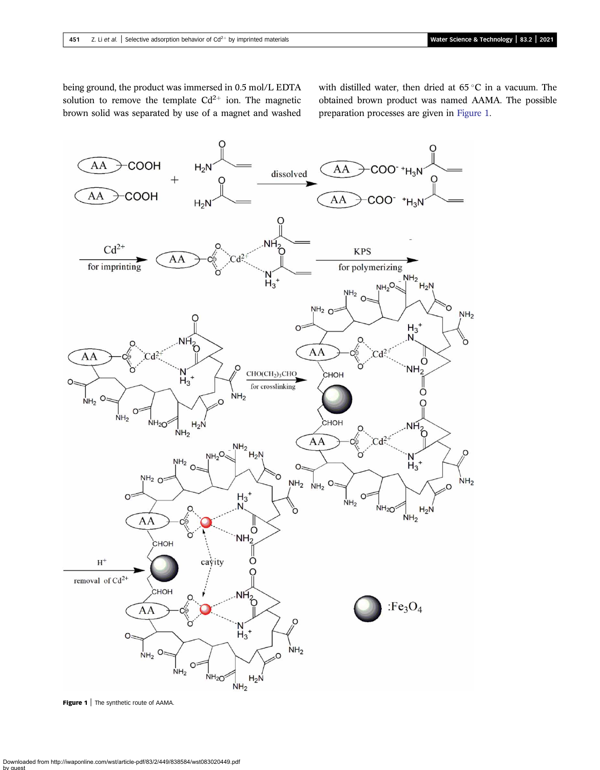<span id="page-2-0"></span>being ground, the product was immersed in 0.5 mol/L EDTA solution to remove the template  $Cd^{2+}$  ion. The magnetic brown solid was separated by use of a magnet and washed

with distilled water, then dried at  $65^{\circ}$ C in a vacuum. The obtained brown product was named AAMA. The possible preparation processes are given in Figure 1.



Figure 1 | The synthetic route of AAMA.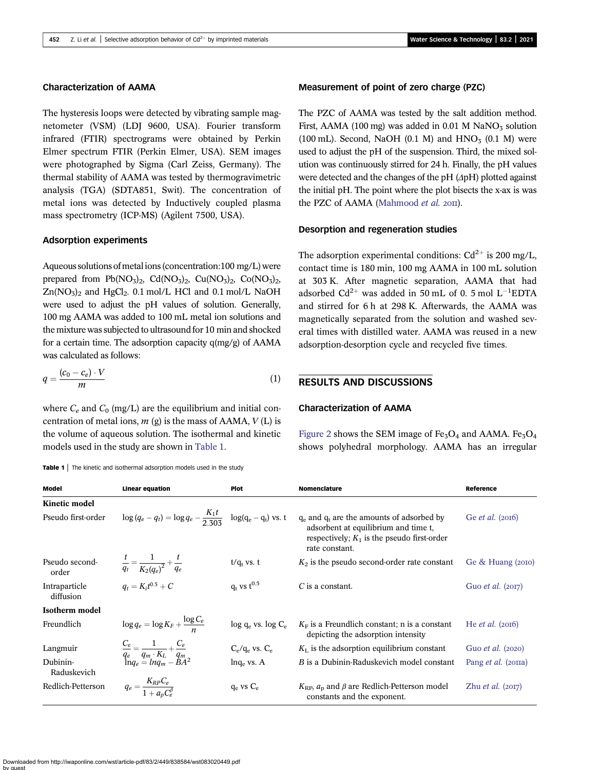## Characterization of AAMA

The hysteresis loops were detected by vibrating sample magnetometer (VSM) (LDJ 9600, USA). Fourier transform infrared (FTIR) spectrograms were obtained by Perkin Elmer spectrum FTIR (Perkin Elmer, USA). SEM images were photographed by Sigma (Carl Zeiss, Germany). The thermal stability of AAMA was tested by thermogravimetric analysis (TGA) (SDTA851, Swit). The concentration of metal ions was detected by Inductively coupled plasma mass spectrometry (ICP-MS) (Agilent 7500, USA).

#### Adsorption experiments

Aqueous solutions of metal ions (concentration:100 mg/L) were prepared from  $Pb(NO<sub>3</sub>)<sub>2</sub>$ ,  $Cd(NO<sub>3</sub>)<sub>2</sub>$ ,  $Cu(NO<sub>3</sub>)<sub>2</sub>$ ,  $Co(NO<sub>3</sub>)<sub>2</sub>$ ,  $Zn(NO<sub>3</sub>)<sub>2</sub>$  and HgCl<sub>2</sub>. 0.1 mol/L HCl and 0.1 mol/L NaOH were used to adjust the pH values of solution. Generally, 100 mg AAMA was added to 100 mL metal ion solutions and the mixture was subjected to ultrasound for 10 min and shocked for a certain time. The adsorption capacity q(mg/g) of AAMA was calculated as follows:

$$
q = \frac{(c_0 - c_e) \cdot V}{m} \tag{1}
$$

where  $C_e$  and  $C_0$  (mg/L) are the equilibrium and initial concentration of metal ions,  $m$  (g) is the mass of AAMA,  $V$  (L) is the volume of aqueous solution. The isothermal and kinetic models used in the study are shown in Table 1.

Table 1 | The kinetic and isothermal adsorption models used in the study

#### Measurement of point of zero charge (PZC)

The PZC of AAMA was tested by the salt addition method. First, AAMA (100 mg) was added in 0.01 M NaNO<sub>3</sub> solution (100 mL). Second, NaOH (0.1 M) and  $HNO<sub>3</sub>$  (0.1 M) were used to adjust the pH of the suspension. Third, the mixed solution was continuously stirred for 24 h. Finally, the pH values were detected and the changes of the pH (ΔpH) plotted against the initial pH. The point where the plot bisects the x-ax is was the PZC of AAMA [\(Mahmood](#page-13-0) et al. 2011).

## Desorption and regeneration studies

The adsorption experimental conditions:  $Cd^{2+}$  is 200 mg/L, contact time is 180 min, 100 mg AAMA in 100 mL solution at 303 K. After magnetic separation, AAMA that had adsorbed  $Cd^{2+}$  was added in 50 mL of 0. 5 mol  $L^{-1}EDTA$ and stirred for 6 h at 298 K. Afterwards, the AAMA was magnetically separated from the solution and washed several times with distilled water. AAMA was reused in a new adsorption-desorption cycle and recycled five times.

## RESULTS AND DISCUSSIONS

### Characterization of AAMA

[Figure 2](#page-4-0) shows the SEM image of  $Fe<sub>3</sub>O<sub>4</sub>$  and AAMA.  $Fe<sub>3</sub>O<sub>4</sub>$ shows polyhedral morphology. AAMA has an irregular

| <b>Model</b>               | Linear equation                                                                             | <b>Plot</b>             | <b>Nomenclature</b>                                                                                                                                       | Reference                  |
|----------------------------|---------------------------------------------------------------------------------------------|-------------------------|-----------------------------------------------------------------------------------------------------------------------------------------------------------|----------------------------|
| Kinetic model              |                                                                                             |                         |                                                                                                                                                           |                            |
| Pseudo first-order         | $\log (q_e - q_t) = \log q_e - \frac{K_1 t}{2.303} \log (q_e - q_t)$ vs. t                  |                         | $q_e$ and $q_t$ are the amounts of adsorbed by<br>adsorbent at equilibrium and time t,<br>respectively; $K_1$ is the pseudo first-order<br>rate constant. | Ge <i>et al.</i> $(2016)$  |
| Pseudo second-<br>order    | $\frac{t}{q_t} = \frac{1}{K_2 (q_e)^2} + \frac{t}{q_e}$                                     | $t/q_t$ vs. t           | $K_2$ is the pseudo second-order rate constant                                                                                                            | Ge & Huang (2010)          |
| Intraparticle<br>diffusion | $q_t = K_i t^{0.5} + C$                                                                     | $q_t$ vs $t^{0.5}$      | $C$ is a constant.                                                                                                                                        | Guo <i>et al.</i> $(2017)$ |
| Isotherm model             |                                                                                             |                         |                                                                                                                                                           |                            |
| Freundlich                 | $\log q_e = \log K_F + \frac{\log C_e}{n}$                                                  | $log q_e$ vs. $log C_e$ | $K_F$ is a Freundlich constant; n is a constant<br>depicting the adsorption intensity                                                                     | He <i>et al.</i> $(2016)$  |
| Langmuir                   | $\frac{C_e}{q_e} = \frac{1}{q_m \cdot K_L} + \frac{C_e}{q_m}$<br>$\ln q_e = \ln q_m - BA^2$ | $C_e/q_e$ vs. $C_e$     | $K_{\text{L}}$ is the adsorption equilibrium constant                                                                                                     | Guo <i>et al.</i> (2020)   |
| Dubinin-<br>Raduskevich    |                                                                                             | $lnq_e$ vs. A           | B is a Dubinin-Raduskevich model constant                                                                                                                 | Pang <i>et al.</i> (2011a) |
| Redlich-Petterson          | $q_e = \frac{K_{RP} C_e}{1 + a_e C_e^{\beta}}$                                              | $q_e$ vs $C_e$          | $K_{\rm RP}$ , $a_{\rm p}$ and $\beta$ are Redlich-Petterson model<br>constants and the exponent.                                                         | Zhu <i>et al.</i> $(20I7)$ |

Downloaded from http://iwaponline.com/wst/article-pdf/83/2/449/838584/wst083020449.pdf by guest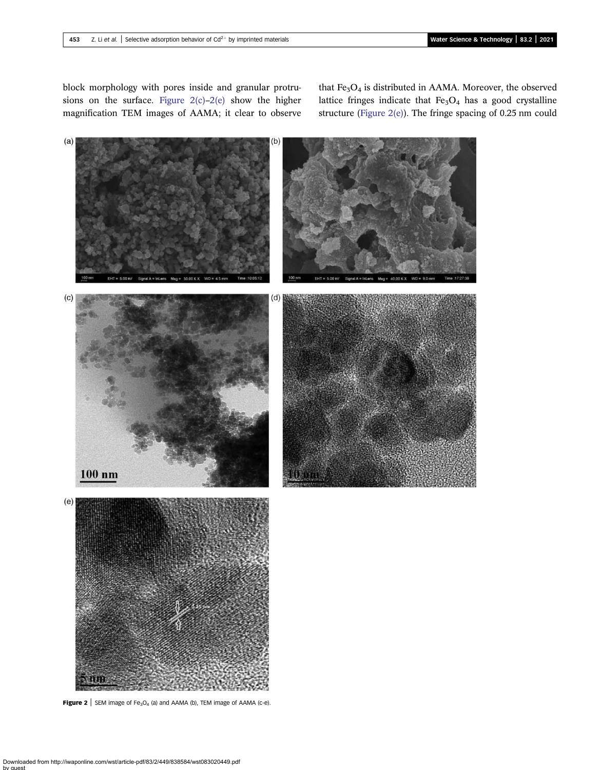<span id="page-4-0"></span>block morphology with pores inside and granular protrusions on the surface. Figure  $2(c)-2(e)$  show the higher magnification TEM images of AAMA; it clear to observe

that  $Fe<sub>3</sub>O<sub>4</sub>$  is distributed in AAMA. Moreover, the observed lattice fringes indicate that  $Fe<sub>3</sub>O<sub>4</sub>$  has a good crystalline structure (Figure 2(e)). The fringe spacing of 0.25 nm could



**Figure 2** | SEM image of Fe<sub>3</sub>O<sub>4</sub> (a) and AAMA (b), TEM image of AAMA (c-e).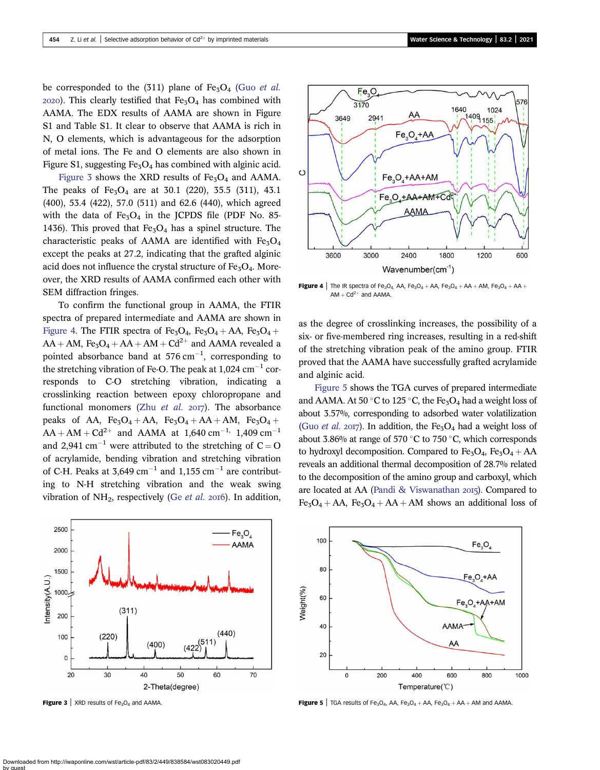be corresponded to the  $(311)$  plane of Fe<sub>3</sub>O<sub>4</sub> (Guo *[et al.](#page-13-0)*)  $2020$ ). This clearly testified that Fe<sub>3</sub>O<sub>4</sub> has combined with AAMA. The EDX results of AAMA are shown in Figure S1 and Table S1. It clear to observe that AAMA is rich in N, O elements, which is advantageous for the adsorption of metal ions. The Fe and O elements are also shown in Figure S1, suggesting  $Fe<sub>3</sub>O<sub>4</sub>$  has combined with alginic acid.

Figure 3 shows the XRD results of  $Fe<sub>3</sub>O<sub>4</sub>$  and AAMA. The peaks of  $Fe<sub>3</sub>O<sub>4</sub>$  are at 30.1 (220), 35.5 (311), 43.1 (400), 53.4 (422), 57.0 (511) and 62.6 (440), which agreed with the data of  $Fe<sub>3</sub>O<sub>4</sub>$  in the JCPDS file (PDF No. 85-1436). This proved that  $Fe<sub>3</sub>O<sub>4</sub>$  has a spinel structure. The characteristic peaks of AAMA are identified with  $Fe<sub>3</sub>O<sub>4</sub>$ except the peaks at 27.2, indicating that the grafted alginic acid does not influence the crystal structure of  $Fe<sub>3</sub>O<sub>4</sub>$ . Moreover, the XRD results of AAMA confirmed each other with SEM diffraction fringes.

To confirm the functional group in AAMA, the FTIR spectra of prepared intermediate and AAMA are shown in Figure 4. The FTIR spectra of Fe<sub>3</sub>O<sub>4</sub>, Fe<sub>3</sub>O<sub>4</sub> + AA, Fe<sub>3</sub>O<sub>4</sub> +  $AA + AM$ , Fe<sub>3</sub>O<sub>4</sub> + AA + AM + Cd<sup>2+</sup> and AAMA revealed a pointed absorbance band at  $576 \text{ cm}^{-1}$ , corresponding to the stretching vibration of Fe-O. The peak at  $1,024$  cm<sup>-1</sup> corresponds to C-O stretching vibration, indicating a crosslinking reaction between epoxy chloropropane and functional monomers (Zhu *[et al.](#page-13-0)*  $20I7$ ). The absorbance peaks of AA,  $Fe<sub>3</sub>O<sub>4</sub> + AA$ ,  $Fe<sub>3</sub>O<sub>4</sub> + AA + AM$ ,  $Fe<sub>3</sub>O<sub>4</sub> +$  $AA + AM + Cd^{2+}$  and AAMA at 1,640 cm<sup>-1,</sup> 1,409 cm<sup>-1</sup> and 2,941 cm<sup>-1</sup> were attributed to the stretching of  $C = O$ of acrylamide, bending vibration and stretching vibration of C-H. Peaks at  $3.649 \text{ cm}^{-1}$  and  $1.155 \text{ cm}^{-1}$  are contributing to N-H stretching vibration and the weak swing vibration of  $NH_2$ , respectively (Ge *[et al.](#page-13-0)* 2016). In addition,



**Figure 3** | XRD results of Fe<sub>3</sub>O<sub>4</sub> and AAMA.



Figure 4 | The IR spectra of Fe<sub>3</sub>O<sub>4</sub>, AA, Fe<sub>3</sub>O<sub>4</sub> + AA, Fe<sub>3</sub>O<sub>4</sub> + AA + AM, Fe<sub>3</sub>O<sub>4</sub> + AA +  $AM + Cd^{2+}$  and AAMA.

as the degree of crosslinking increases, the possibility of a six- or five-membered ring increases, resulting in a red-shift of the stretching vibration peak of the amino group. FTIR proved that the AAMA have successfully grafted acrylamide and alginic acid.

Figure 5 shows the TGA curves of prepared intermediate and AAMA. At 50 °C to 125 °C, the Fe<sub>3</sub>O<sub>4</sub> had a weight loss of about 3.57%, corresponding to adsorbed water volatilization (Guo *[et al.](#page-13-0)* 2017). In addition, the Fe<sub>3</sub>O<sub>4</sub> had a weight loss of about 3.86% at range of 570  $\degree$ C to 750  $\degree$ C, which corresponds to hydroxyl decomposition. Compared to  $Fe<sub>3</sub>O<sub>4</sub>$ ,  $Fe<sub>3</sub>O<sub>4</sub> + AA$ reveals an additional thermal decomposition of 28.7% related to the decomposition of the amino group and carboxyl, which are located at AA [\(Pandi & Viswanathan](#page-13-0) 2015). Compared to  $Fe<sub>3</sub>O<sub>4</sub> + AA$ ,  $Fe<sub>3</sub>O<sub>4</sub> + AA + AM$  shows an additional loss of



**Figure 5** | TGA results of Fe<sub>3</sub>O<sub>4</sub>, AA, Fe<sub>3</sub>O<sub>4</sub> + AA, Fe<sub>3</sub>O<sub>4</sub> + AA + AM and AAMA.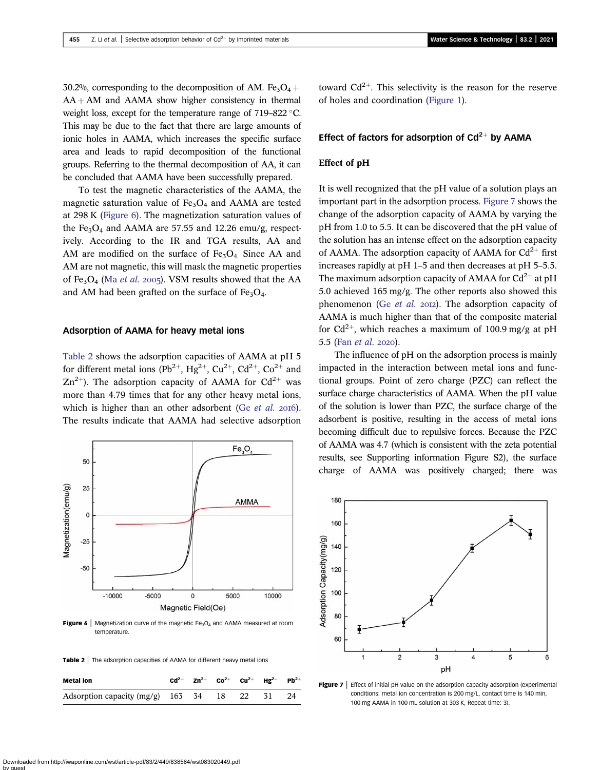30.2%, corresponding to the decomposition of AM. Fe<sub>3</sub>O<sub>4</sub> +  $AA + AM$  and  $AAMA$  show higher consistency in thermal weight loss, except for the temperature range of  $719-822$  °C. This may be due to the fact that there are large amounts of ionic holes in AAMA, which increases the specific surface area and leads to rapid decomposition of the functional groups. Referring to the thermal decomposition of AA, it can be concluded that AAMA have been successfully prepared.

To test the magnetic characteristics of the AAMA, the magnetic saturation value of  $Fe<sub>3</sub>O<sub>4</sub>$  and AAMA are tested at 298 K (Figure 6). The magnetization saturation values of the Fe<sub>3</sub>O<sub>4</sub> and AAMA are 57.55 and 12.26 emu/g, respectively. According to the IR and TGA results, AA and AM are modified on the surface of  $Fe<sub>3</sub>O<sub>4</sub>$ . Since AA and AM are not magnetic, this will mask the magnetic properties of Fe<sub>3</sub>O<sub>4</sub> (Ma *[et al.](#page-13-0)* 2005). VSM results showed that the AA and AM had been grafted on the surface of  $Fe<sub>3</sub>O<sub>4</sub>$ .

## Adsorption of AAMA for heavy metal ions

Table 2 shows the adsorption capacities of AAMA at pH 5 for different metal ions (Pb<sup>2+</sup>, Hg<sup>2+</sup>, Cu<sup>2+</sup>, Cd<sup>2+</sup>, Co<sup>2+</sup> and  $Zn^{2+}$ ). The adsorption capacity of AAMA for Cd<sup>2+</sup> was more than 4.79 times that for any other heavy metal ions, which is higher than an other adsorbent (Ge *[et al.](#page-13-0)* 2016). The results indicate that AAMA had selective adsorption



**Figure 6** | Magnetization curve of the magnetic  $Fe<sub>3</sub>O<sub>4</sub>$  and AAMA measured at room temperature.

Table 2 | The adsorption capacities of AAMA for different heavy metal ions

| Metal ion                                       |  |  | $Cd^{2+}$ Zn <sup>2+</sup> Co <sup>2+</sup> Cu <sup>2+</sup> Hg <sup>2+</sup> Pb <sup>2+</sup> |  |
|-------------------------------------------------|--|--|------------------------------------------------------------------------------------------------|--|
| Adsorption capacity $(mg/g)$ 163 34 18 22 31 24 |  |  |                                                                                                |  |

toward  $Cd^{2+}$ . This selectivity is the reason for the reserve of holes and coordination ([Figure 1](#page-2-0)).

## Effect of factors for adsorption of  $Cd^{2+}$  by AAMA

## Effect of pH

It is well recognized that the pH value of a solution plays an important part in the adsorption process. Figure 7 shows the change of the adsorption capacity of AAMA by varying the pH from 1.0 to 5.5. It can be discovered that the pH value of the solution has an intense effect on the adsorption capacity of AAMA. The adsorption capacity of AAMA for  $Cd^{2+}$  first increases rapidly at pH 1–5 and then decreases at pH 5–5.5. The maximum adsorption capacity of AMAA for  $Cd^{2+}$  at pH 5.0 achieved 165 mg/g. The other reports also showed this phenomenon (Ge  $et$  al. 2012). The adsorption capacity of AAMA is much higher than that of the composite material for  $Cd^{2+}$ , which reaches a maximum of 100.9 mg/g at pH 5.5 (Fan [et al.](#page-13-0) 2020).

The influence of pH on the adsorption process is mainly impacted in the interaction between metal ions and functional groups. Point of zero charge (PZC) can reflect the surface charge characteristics of AAMA. When the pH value of the solution is lower than PZC, the surface charge of the adsorbent is positive, resulting in the access of metal ions becoming difficult due to repulsive forces. Because the PZC of AAMA was 4.7 (which is consistent with the zeta potential results, see Supporting information Figure S2), the surface charge of AAMA was positively charged; there was



Figure  $7$  | Effect of initial pH value on the adsorption capacity adsorption (experimental conditions: metal ion concentration is 200 mg/L, contact time is 140 min, 100 mg AAMA in 100 mL solution at 303 K, Repeat time: 3).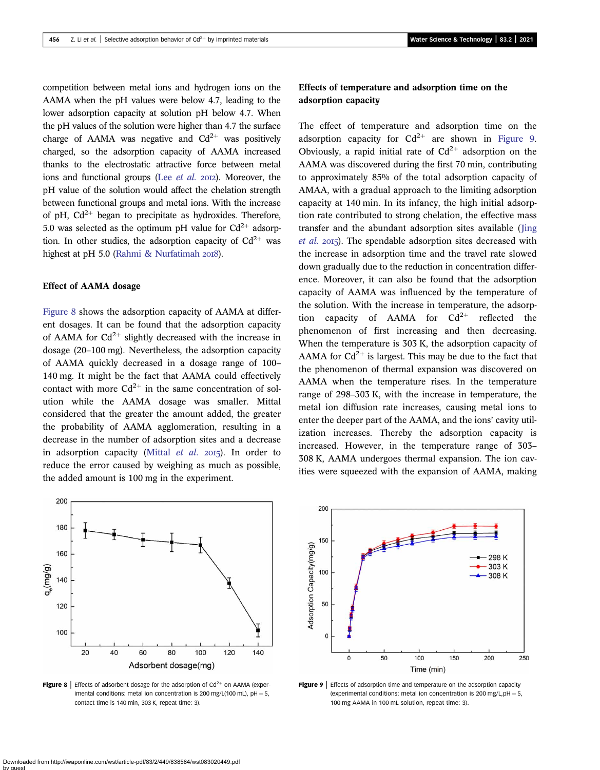competition between metal ions and hydrogen ions on the AAMA when the pH values were below 4.7, leading to the lower adsorption capacity at solution pH below 4.7. When the pH values of the solution were higher than 4.7 the surface charge of AAMA was negative and  $Cd^{2+}$  was positively charged, so the adsorption capacity of AAMA increased thanks to the electrostatic attractive force between metal ions and functional groups (Lee  $et$  al.  $20I2$ ). Moreover, the pH value of the solution would affect the chelation strength between functional groups and metal ions. With the increase of pH,  $Cd^{2+}$  began to precipitate as hydroxides. Therefore, 5.0 was selected as the optimum pH value for  $Cd^{2+}$  adsorption. In other studies, the adsorption capacity of  $Cd^{2+}$  was highest at pH 5.0 (Rahmi  $\&$  Nurfatimah 2018).

## Effect of AAMA dosage

Figure 8 shows the adsorption capacity of AAMA at different dosages. It can be found that the adsorption capacity of AAMA for  $Cd^{2+}$  slightly decreased with the increase in dosage (20–100 mg). Nevertheless, the adsorption capacity of AAMA quickly decreased in a dosage range of 100– 140 mg. It might be the fact that AAMA could effectively contact with more  $Cd^{2+}$  in the same concentration of solution while the AAMA dosage was smaller. Mittal considered that the greater the amount added, the greater the probability of AAMA agglomeration, resulting in a decrease in the number of adsorption sites and a decrease in adsorption capacity ([Mittal](#page-13-0)  $et$   $al.$  2015). In order to reduce the error caused by weighing as much as possible, the added amount is 100 mg in the experiment.



Figure 8 | Effects of adsorbent dosage for the adsorption of  $Cd^{2+}$  on AAMA (experimental conditions: metal ion concentration is 200 mg/L(100 mL),  $pH = 5$ , contact time is 140 min, 303 K, repeat time: 3).

## Effects of temperature and adsorption time on the adsorption capacity

The effect of temperature and adsorption time on the adsorption capacity for  $Cd^{2+}$  are shown in Figure 9. Obviously, a rapid initial rate of  $Cd^{2+}$  adsorption on the AAMA was discovered during the first 70 min, contributing to approximately 85% of the total adsorption capacity of AMAA, with a gradual approach to the limiting adsorption capacity at 140 min. In its infancy, the high initial adsorption rate contributed to strong chelation, the effective mass transfer and the abundant adsorption sites available ([Jing](#page-13-0)  $et$  al. 2015). The spendable adsorption sites decreased with the increase in adsorption time and the travel rate slowed down gradually due to the reduction in concentration difference. Moreover, it can also be found that the adsorption capacity of AAMA was influenced by the temperature of the solution. With the increase in temperature, the adsorption capacity of AAMA for  $Cd^{2+}$  reflected the phenomenon of first increasing and then decreasing. When the temperature is 303 K, the adsorption capacity of AAMA for  $Cd^{2+}$  is largest. This may be due to the fact that the phenomenon of thermal expansion was discovered on AAMA when the temperature rises. In the temperature range of 298–303 K, with the increase in temperature, the metal ion diffusion rate increases, causing metal ions to enter the deeper part of the AAMA, and the ions' cavity utilization increases. Thereby the adsorption capacity is increased. However, in the temperature range of 303– 308 K, AAMA undergoes thermal expansion. The ion cavities were squeezed with the expansion of AAMA, making



**Figure 9** Effects of adsorption time and temperature on the adsorption capacity (experimental conditions: metal ion concentration is 200 mg/L,  $pH = 5$ , 100 mg AAMA in 100 mL solution, repeat time: 3).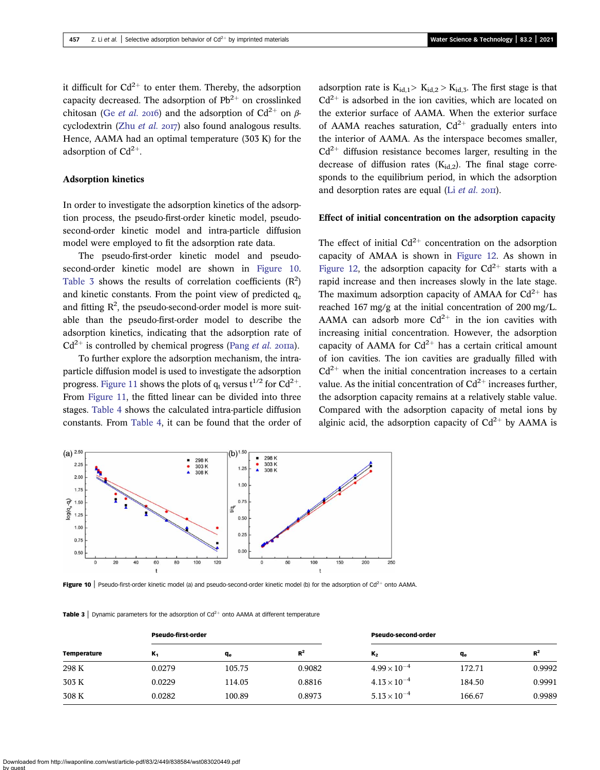it difficult for  $Cd^{2+}$  to enter them. Thereby, the adsorption capacity decreased. The adsorption of  $Pb^{2+}$  on crosslinked chitosan (Ge [et al.](#page-13-0) 2016) and the adsorption of  $Cd^{2+}$  on  $\beta$ cyclodextrin (Zhu [et al.](#page-13-0)  $20I7$ ) also found analogous results. Hence, AAMA had an optimal temperature (303 K) for the adsorption of  $Cd^{2+}$ .

#### Adsorption kinetics

In order to investigate the adsorption kinetics of the adsorption process, the pseudo-first-order kinetic model, pseudosecond-order kinetic model and intra-particle diffusion model were employed to fit the adsorption rate data.

The pseudo-first-order kinetic model and pseudosecond-order kinetic model are shown in Figure 10. Table 3 shows the results of correlation coefficients  $(R^2)$ and kinetic constants. From the point view of predicted  $q_e$ and fitting  $R^2$ , the pseudo-second-order model is more suitable than the pseudo-first-order model to describe the adsorption kinetics, indicating that the adsorption rate of  $Cd^{2+}$  is controlled by chemical progress (Pang *[et al.](#page-13-0)* 2011a).

To further explore the adsorption mechanism, the intraparticle diffusion model is used to investigate the adsorption progress. [Figure 11](#page-9-0) shows the plots of  $q_t$  versus  $t^{1/2}$  for  $Cd^{2+}$ . From [Figure 11](#page-9-0), the fitted linear can be divided into three stages. [Table 4](#page-9-0) shows the calculated intra-particle diffusion constants. From [Table 4](#page-9-0), it can be found that the order of adsorption rate is  $K_{id,1} > K_{id,2} > K_{id,3}$ . The first stage is that  $Cd^{2+}$  is adsorbed in the ion cavities, which are located on the exterior surface of AAMA. When the exterior surface of AAMA reaches saturation,  $Cd^{2+}$  gradually enters into the interior of AAMA. As the interspace becomes smaller,  $Cd^{2+}$  diffusion resistance becomes larger, resulting in the decrease of diffusion rates  $(K_{id2})$ . The final stage corresponds to the equilibrium period, in which the adsorption and desorption rates are equal (Li  $et$  al.  $20 \text{II}$ ).

## Effect of initial concentration on the adsorption capacity

The effect of initial  $Cd^{2+}$  concentration on the adsorption capacity of AMAA is shown in [Figure 12](#page-9-0). As shown in [Figure 12,](#page-9-0) the adsorption capacity for  $Cd^{2+}$  starts with a rapid increase and then increases slowly in the late stage. The maximum adsorption capacity of AMAA for  $Cd^{2+}$  has reached 167 mg/g at the initial concentration of 200 mg/L. AAMA can adsorb more  $Cd^{2+}$  in the ion cavities with increasing initial concentration. However, the adsorption capacity of AAMA for  $Cd^{2+}$  has a certain critical amount of ion cavities. The ion cavities are gradually filled with  $Cd^{2+}$  when the initial concentration increases to a certain value. As the initial concentration of  $Cd^{2+}$  increases further, the adsorption capacity remains at a relatively stable value. Compared with the adsorption capacity of metal ions by alginic acid, the adsorption capacity of  $Cd^{2+}$  by AAMA is



Figure 10 | Pseudo-first-order kinetic model (a) and pseudo-second-order kinetic model (b) for the adsorption of  $Cd^{2+}$  onto AAMA.

**Table 3** Dynamic parameters for the adsorption of  $Cd^{2+}$  onto AAMA at different temperature

| <b>Pseudo-first-order</b> |        |        | <b>Pseudo-second-order</b> |        |        |
|---------------------------|--------|--------|----------------------------|--------|--------|
| к,                        | $q_e$  | $R^2$  | $K_{2}$                    | qe     | $R^2$  |
| 0.0279                    | 105.75 | 0.9082 | $4.99 \times 10^{-4}$      | 172.71 | 0.9992 |
| 0.0229                    | 114.05 | 0.8816 | $4.13 \times 10^{-4}$      | 184.50 | 0.9991 |
| 0.0282                    | 100.89 | 0.8973 | $5.13 \times 10^{-4}$      | 166.67 | 0.9989 |
|                           |        |        |                            |        |        |

Downloaded from http://iwaponline.com/wst/article-pdf/83/2/449/838584/wst083020449.pdf by guest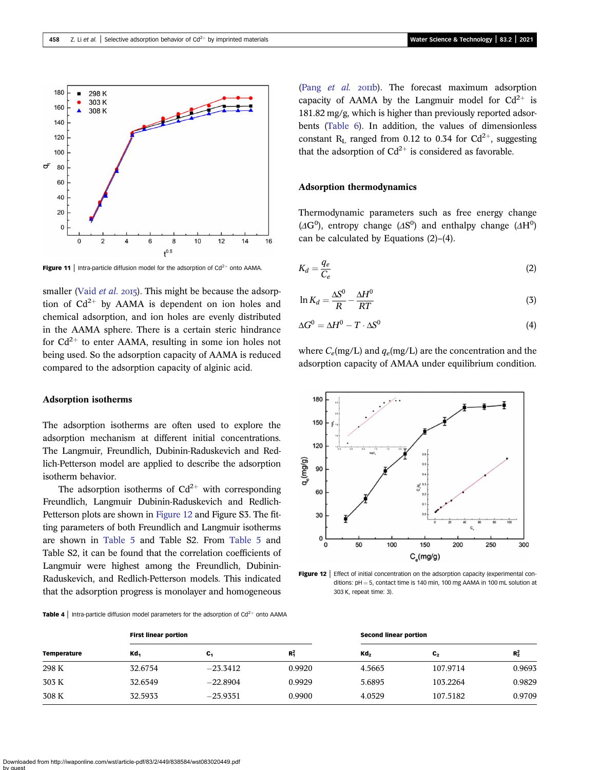<span id="page-9-0"></span>

Figure 11 | Intra-particle diffusion model for the adsorption of  $Cd^{2+}$  onto AAMA.

smaller (Vaid [et al.](#page-13-0) 2015). This might be because the adsorption of  $Cd^{2+}$  by AAMA is dependent on ion holes and chemical adsorption, and ion holes are evenly distributed in the AAMA sphere. There is a certain steric hindrance for  $Cd^{2+}$  to enter AAMA, resulting in some ion holes not being used. So the adsorption capacity of AAMA is reduced compared to the adsorption capacity of alginic acid.

## Adsorption isotherms

The adsorption isotherms are often used to explore the adsorption mechanism at different initial concentrations. The Langmuir, Freundlich, Dubinin-Raduskevich and Redlich-Petterson model are applied to describe the adsorption isotherm behavior.

The adsorption isotherms of  $Cd^{2+}$  with corresponding Freundlich, Langmuir Dubinin-Raduskevich and Redlich-Petterson plots are shown in Figure 12 and Figure S3. The fitting parameters of both Freundlich and Langmuir isotherms are shown in [Table 5](#page-10-0) and Table S2. From [Table 5](#page-10-0) and Table S2, it can be found that the correlation coefficients of Langmuir were highest among the Freundlich, Dubinin-Raduskevich, and Redlich-Petterson models. This indicated that the adsorption progress is monolayer and homogeneous

**Table 4** | Intra-particle diffusion model parameters for the adsorption of  $Cd^{2+}$  onto AAMA

Temperature First linear portion **Second linear portion** Second linear portion Kd<sub>1</sub>  $C_1$  R<sub>1</sub>  $^{2}_{1}$  Kd<sub>2</sub> C<sub>2</sub> R<sub>2</sub><sup>2</sup>  $R_2^2$ 298 K 32.6754 23.3412 0.9920 4.5665 107.9714 0.9693 303 K 32.6549 22.8904 0.9929 5.6895 103.2264 0.9829 308 K 32.5933 25.9351 0.9900 4.0529 107.5182 0.9709

(Pang [et al.](#page-13-0) 2011b). The forecast maximum adsorption capacity of AAMA by the Langmuir model for  $Cd^{2+}$  is 181.82 mg/g, which is higher than previously reported adsorbents ([Table 6\)](#page-10-0). In addition, the values of dimensionless constant R<sub>L</sub> ranged from 0.12 to 0.34 for Cd<sup>2+</sup>, suggesting that the adsorption of  $Cd^{2+}$  is considered as favorable.

## Adsorption thermodynamics

Thermodynamic parameters such as free energy change  $(\Delta G^0)$ , entropy change  $(\Delta S^0)$  and enthalpy change  $(\Delta H^0)$ can be calculated by Equations (2)–(4).

$$
K_d = \frac{q_e}{C_e} \tag{2}
$$

$$
\ln K_d = \frac{\Delta S^0}{R} - \frac{\Delta H^0}{RT}
$$
\n(3)

$$
\Delta G^0 = \Delta H^0 - T \cdot \Delta S^0 \tag{4}
$$

where  $C_e$ (mg/L) and  $q_e$ (mg/L) are the concentration and the adsorption capacity of AMAA under equilibrium condition.



Figure 12 | Effect of initial concentration on the adsorption capacity (experimental conditions:  $pH = 5$ , contact time is 140 min, 100 mg AAMA in 100 mL solution at 303 K, repeat time: 3).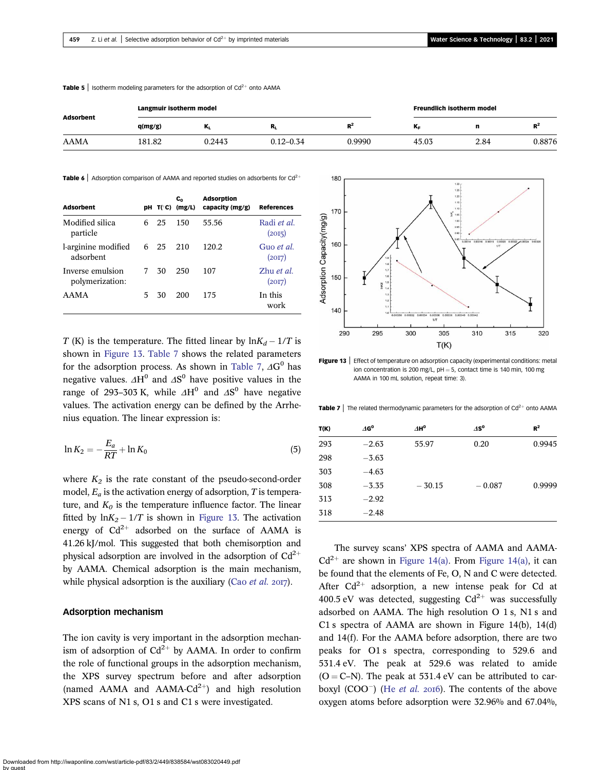| <b>Adsorbent</b> | Langmuir isotherm model |        |               |        | Freundlich isotherm model |      |         |
|------------------|-------------------------|--------|---------------|--------|---------------------------|------|---------|
|                  | q(mg/g)                 | M      | к,            | $R^2$  | ΔF                        | n    | вz<br>ĸ |
| AAMA             | 181.82                  | 0.2443 | $0.12 - 0.34$ | 0.9990 | 45.03                     | 2.84 | 0.8876  |

<span id="page-10-0"></span>**Table 5** | Isotherm modeling parameters for the adsorption of  $Cd^{2+}$  onto AAMA

**Table 6** Adsorption comparison of AAMA and reported studies on adsorbents for Cd<sup>2</sup>

| <b>Adsorbent</b>                    |    |     | C <sub>o</sub><br>$pH$ T(°C) (mg/L) | <b>Adsorption</b><br>capacity (mg/g) | <b>References</b>              |
|-------------------------------------|----|-----|-------------------------------------|--------------------------------------|--------------------------------|
| Modified silica<br>particle         | 6  | 25  | 150                                 | 55.56                                | Radi et al.<br>(20I5)          |
| l-arginine modified<br>adsorbent    | 6  | -25 | 210                                 | 120.2                                | Guo et al.<br>(20I7)           |
| Inverse emulsion<br>polymerization: | 7  | 30  | 250                                 | 107                                  | $Z$ hu <i>et al.</i><br>(20I7) |
| <b>AAMA</b>                         | 5. | 30  | 200                                 | 175                                  | In this<br>work                |

T (K) is the temperature. The fitted linear by  $\ln K_d - 1/T$  is shown in Figure 13. Table 7 shows the related parameters for the adsorption process. As shown in Table 7,  $\Delta G^0$  has negative values.  $\Delta H^0$  and  $\Delta S^0$  have positive values in the range of 293–303 K, while  $\Delta H^0$  and  $\Delta S^0$  have negative values. The activation energy can be defined by the Arrhenius equation. The linear expression is:

$$
\ln K_2 = -\frac{E_a}{RT} + \ln K_0 \tag{5}
$$

where  $K_2$  is the rate constant of the pseudo-second-order model,  $E_a$  is the activation energy of adsorption, T is temperature, and  $K_0$  is the temperature influence factor. The linear fitted by  $ln K_2 - 1/T$  is shown in Figure 13. The activation energy of  $Cd^{2+}$  adsorbed on the surface of AAMA is 41.26 kJ/mol. This suggested that both chemisorption and physical adsorption are involved in the adsorption of  $Cd^{2+}$ by AAMA. Chemical adsorption is the main mechanism, while physical adsorption is the auxiliary (Cao [et al.](#page-13-0)  $2017$ ).

## Adsorption mechanism

The ion cavity is very important in the adsorption mechanism of adsorption of  $Cd^{2+}$  by AAMA. In order to confirm the role of functional groups in the adsorption mechanism, the XPS survey spectrum before and after adsorption (named AAMA and AAMA-Cd<sup>2+</sup>) and high resolution XPS scans of N1 s, O1 s and C1 s were investigated.



Figure 13 | Effect of temperature on adsorption capacity (experimental conditions: metal ion concentration is 200 mg/L,  $pH = 5$ , contact time is 140 min, 100 mg AAMA in 100 mL solution, repeat time: 3).

**Table 7** | The related thermodynamic parameters for the adsorption of  $Cd^{2+}$  onto AAMA

| T(K) | $\varDelta \mathbf{G^0}$ | $\Delta H^0$ | $\varDelta\mathbf{S^0}$ | $R^2$  |
|------|--------------------------|--------------|-------------------------|--------|
| 293  | $-2.63$                  | 55.97        | 0.20                    | 0.9945 |
| 298  | $-3.63$                  |              |                         |        |
| 303  | $-4.63$                  |              |                         |        |
| 308  | $-3.35$                  | $-30.15$     | $-0.087$                | 0.9999 |
| 313  | $-2.92$                  |              |                         |        |
| 318  | $-2.48$                  |              |                         |        |

The survey scans' XPS spectra of AAMA and AAMA- $Cd^{2+}$  are shown in [Figure 14\(a\).](#page-11-0) From [Figure 14\(a\),](#page-11-0) it can be found that the elements of Fe, O, N and C were detected. After  $Cd^{2+}$  adsorption, a new intense peak for Cd at 400.5 eV was detected, suggesting  $Cd^{2+}$  was successfully adsorbed on AAMA. The high resolution O 1 s, N1 s and C1 s spectra of AAMA are shown in Figure 14(b), 14(d) and 14(f). For the AAMA before adsorption, there are two peaks for O1 s spectra, corresponding to 529.6 and 531.4 eV. The peak at 529.6 was related to amide  $(O = C-N)$ . The peak at 531.4 eV can be attributed to carboxyl (COO<sup> $-$ </sup>) (He *[et al.](#page-13-0)* 2016). The contents of the above oxygen atoms before adsorption were 32.96% and 67.04%,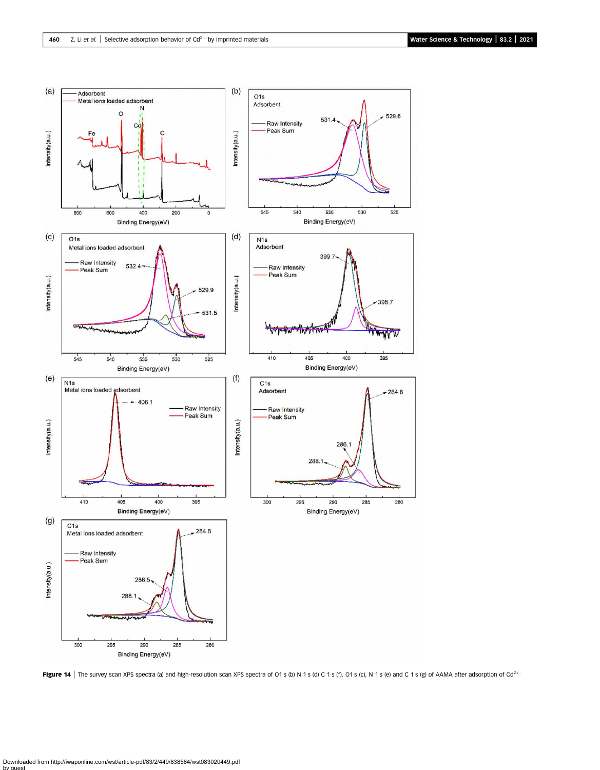<span id="page-11-0"></span>

Figure 14 | The survey scan XPS spectra (a) and high-resolution scan XPS spectra of O1 s (b) N 1 s (d) C 1 s (f). O1 s (c), N 1 s (e) and C 1 s (g) of AAMA after adsorption of Cd<sup>2+</sup>.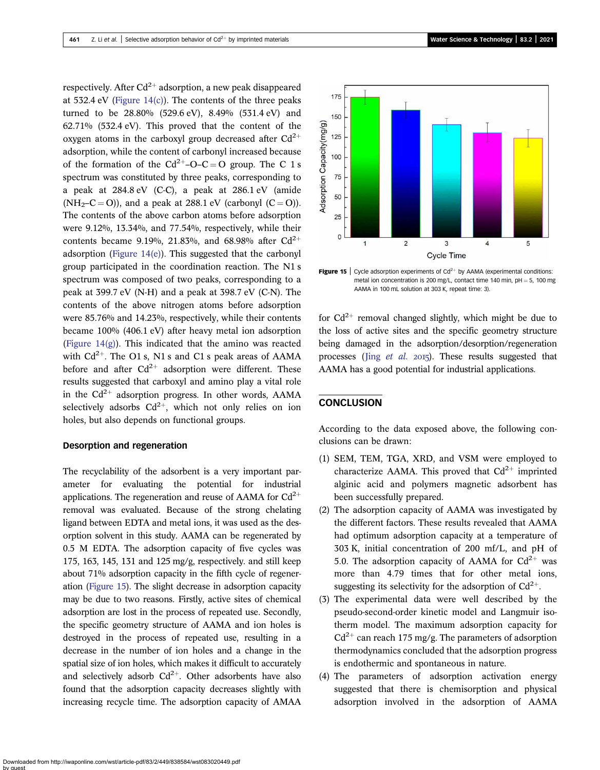respectively. After  $Cd^{2+}$  adsorption, a new peak disappeared at  $532.4$  eV (Figure  $14(c)$ ). The contents of the three peaks turned to be 28.80% (529.6 eV), 8.49% (531.4 eV) and 62.71% (532.4 eV). This proved that the content of the oxygen atoms in the carboxyl group decreased after  $Cd^{2+}$ adsorption, while the content of carbonyl increased because of the formation of the  $Cd^{2+}$ –O–C = O group. The C 1 s spectrum was constituted by three peaks, corresponding to a peak at 284.8 eV (C-C), a peak at 286.1 eV (amide  $(NH<sub>2</sub>-C=O)$ ), and a peak at 288.1 eV (carbonyl  $(C=O)$ ). The contents of the above carbon atoms before adsorption were 9.12%, 13.34%, and 77.54%, respectively, while their contents became 9.19%, 21.83%, and 68.98% after  $Cd^{2+}$ adsorption (Figure  $14(e)$ ). This suggested that the carbonyl group participated in the coordination reaction. The N1 s spectrum was composed of two peaks, corresponding to a peak at 399.7 eV (N-H) and a peak at 398.7 eV (C-N). The contents of the above nitrogen atoms before adsorption were 85.76% and 14.23%, respectively, while their contents became 100% (406.1 eV) after heavy metal ion adsorption (Figure  $14(g)$ ). This indicated that the amino was reacted with  $Cd^{2+}$ . The O1 s, N1 s and C1 s peak areas of AAMA before and after  $Cd^{2+}$  adsorption were different. These results suggested that carboxyl and amino play a vital role in the  $Cd^{2+}$  adsorption progress. In other words, AAMA selectively adsorbs  $Cd^{2+}$ , which not only relies on ion holes, but also depends on functional groups.

### Desorption and regeneration

The recyclability of the adsorbent is a very important parameter for evaluating the potential for industrial applications. The regeneration and reuse of AAMA for  $Cd^{2+}$ removal was evaluated. Because of the strong chelating ligand between EDTA and metal ions, it was used as the desorption solvent in this study. AAMA can be regenerated by 0.5 M EDTA. The adsorption capacity of five cycles was 175, 163, 145, 131 and 125 mg/g, respectively. and still keep about 71% adsorption capacity in the fifth cycle of regeneration (Figure 15). The slight decrease in adsorption capacity may be due to two reasons. Firstly, active sites of chemical adsorption are lost in the process of repeated use. Secondly, the specific geometry structure of AAMA and ion holes is destroyed in the process of repeated use, resulting in a decrease in the number of ion holes and a change in the spatial size of ion holes, which makes it difficult to accurately and selectively adsorb  $Cd^{2+}$ . Other adsorbents have also found that the adsorption capacity decreases slightly with increasing recycle time. The adsorption capacity of AMAA





**Figure 15** | Cycle adsorption experiments of  $Cd^{2+}$  by AAMA (experimental conditions: metal ion concentration is 200 mg/L, contact time 140 min,  $pH = 5$ , 100 mg AAMA in 100 mL solution at 303 K, repeat time: 3).

for  $Cd^{2+}$  removal changed slightly, which might be due to the loss of active sites and the specific geometry structure being damaged in the adsorption/desorption/regeneration processes (Jing *[et al.](#page-13-0)*  $2015$ ). These results suggested that AAMA has a good potential for industrial applications.

### **CONCLUSION**

According to the data exposed above, the following conclusions can be drawn:

- (1) SEM, TEM, TGA, XRD, and VSM were employed to characterize AAMA. This proved that  $Cd^{2+}$  imprinted alginic acid and polymers magnetic adsorbent has been successfully prepared.
- (2) The adsorption capacity of AAMA was investigated by the different factors. These results revealed that AAMA had optimum adsorption capacity at a temperature of 303 K, initial concentration of 200 mf/L, and pH of 5.0. The adsorption capacity of AAMA for  $Cd^{2+}$  was more than 4.79 times that for other metal ions, suggesting its selectivity for the adsorption of  $Cd^{2+}$ .
- (3) The experimental data were well described by the pseudo-second-order kinetic model and Langmuir isotherm model. The maximum adsorption capacity for  $Cd^{2+}$  can reach 175 mg/g. The parameters of adsorption thermodynamics concluded that the adsorption progress is endothermic and spontaneous in nature.
- (4) The parameters of adsorption activation energy suggested that there is chemisorption and physical adsorption involved in the adsorption of AAMA